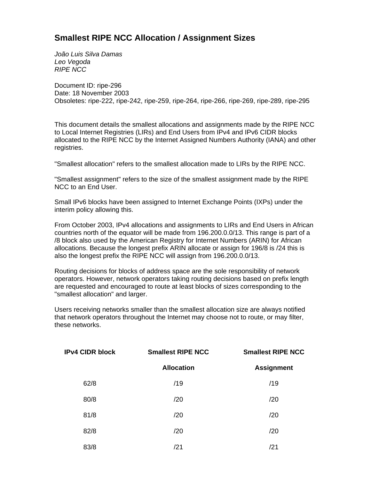## **Smallest RIPE NCC Allocation / Assignment Sizes**

*João Luis Silva Damas Leo Vegoda RIPE NCC*

Document ID: ripe-296 Date: 18 November 2003 Obsoletes: ripe-222, ripe-242, ripe-259, ripe-264, ripe-266, ripe-269, ripe-289, ripe-295

This document details the smallest allocations and assignments made by the RIPE NCC to Local Internet Registries (LIRs) and End Users from IPv4 and IPv6 CIDR blocks allocated to the RIPE NCC by the Internet Assigned Numbers Authority (IANA) and other registries.

"Smallest allocation" refers to the smallest allocation made to LIRs by the RIPE NCC.

"Smallest assignment" refers to the size of the smallest assignment made by the RIPE NCC to an End User.

Small IPv6 blocks have been assigned to Internet Exchange Points (IXPs) under the interim policy allowing this.

From October 2003, IPv4 allocations and assignments to LIRs and End Users in African countries north of the equator will be made from 196.200.0.0/13. This range is part of a /8 block also used by the American Registry for Internet Numbers (ARIN) for African allocations. Because the longest prefix ARIN allocate or assign for 196/8 is /24 this is also the longest prefix the RIPE NCC will assign from 196.200.0.0/13.

Routing decisions for blocks of address space are the sole responsibility of network operators. However, network operators taking routing decisions based on prefix length are requested and encouraged to route at least blocks of sizes corresponding to the "smallest allocation" and larger.

Users receiving networks smaller than the smallest allocation size are always notified that network operators throughout the Internet may choose not to route, or may filter, these networks.

| <b>IPv4 CIDR block</b> | <b>Smallest RIPE NCC</b> | <b>Smallest RIPE NCC</b> |  |
|------------------------|--------------------------|--------------------------|--|
|                        | <b>Allocation</b>        | <b>Assignment</b>        |  |
| 62/8                   | /19                      | /19                      |  |
| 80/8                   | /20                      | /20                      |  |
| 81/8                   | /20                      | /20                      |  |
| 82/8                   | /20                      | /20                      |  |
| 83/8                   | /21                      | /21                      |  |